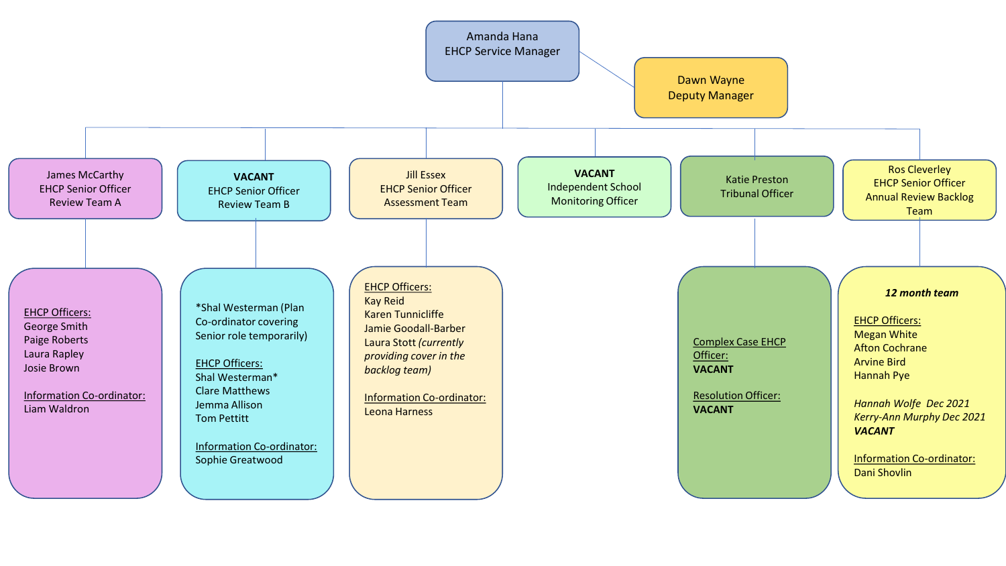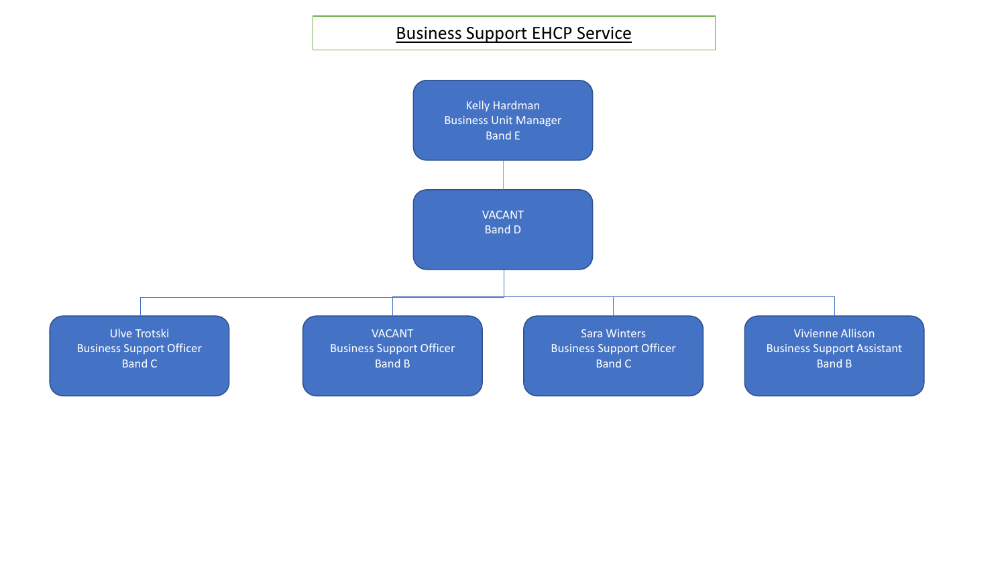Business Support EHCP Service